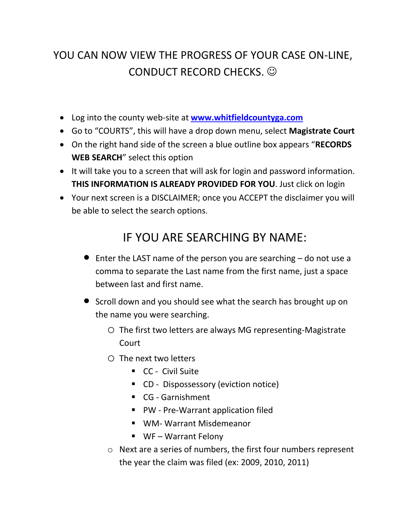## YOU CAN NOW VIEW THE PROGRESS OF YOUR CASE ON-LINE, CONDUCT RECORD CHECKS.  $\odot$

- Log into the county web-site at **[www.whitfieldcountyga.com](http://www.whitfieldcountyga.com/)**
- Go to "COURTS", this will have a drop down menu, select **Magistrate Court**
- On the right hand side of the screen a blue outline box appears "**RECORDS WEB SEARCH**" select this option
- It will take you to a screen that will ask for login and password information. **THIS INFORMATION IS ALREADY PROVIDED FOR YOU**. Just click on login
- Your next screen is a DISCLAIMER; once you ACCEPT the disclaimer you will be able to select the search options.

## IF YOU ARE SEARCHING BY NAME:

- $\bullet$  Enter the LAST name of the person you are searching  $-$  do not use a comma to separate the Last name from the first name, just a space between last and first name.
- **•** Scroll down and you should see what the search has brought up on the name you were searching.
	- o The first two letters are always MG representing-Magistrate Court
	- o The next two letters
		- **CC** Civil Suite
		- **CD** Dispossessory (eviction notice)
		- CG Garnishment
		- PW Pre-Warrant application filed
		- WM- Warrant Misdemeanor
		- WF Warrant Felony
	- o Next are a series of numbers, the first four numbers represent the year the claim was filed (ex: 2009, 2010, 2011)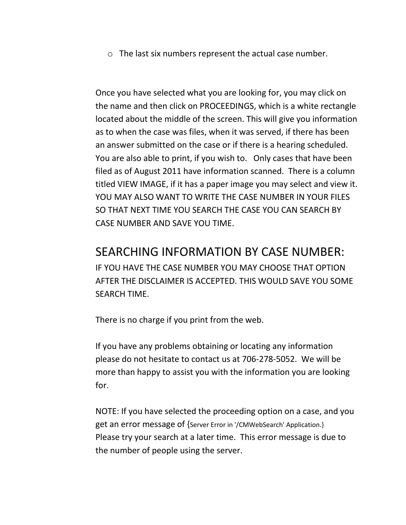o The last six numbers represent the actual case number.

Once you have selected what you are looking for, you may click on the name and then click on PROCEEDINGS, which is a white rectangle located about the middle of the screen. This will give you information as to when the case was files, when it was served, if there has been an answer submitted on the case or if there is a hearing scheduled. You are also able to print, if you wish to. Only cases that have been filed as of August 2011 have information scanned. There is a column titled VIEW IMAGE, if it has a paper image you may select and view it. YOU MAY ALSO WANT TO WRITE THE CASE NUMBER IN YOUR FILES SO THAT NEXT TIME YOU SEARCH THE CASE YOU CAN SEARCH BY CASE NUMBER AND SAVE YOU TIME.

## SEARCHING INFORMATION BY CASE NUMBER:

IF YOU HAVE THE CASE NUMBER YOU MAY CHOOSE THAT OPTION AFTER THE DISCLAIMER IS ACCEPTED. THIS WOULD SAVE YOU SOME SEARCH TIME.

There is no charge if you print from the web.

If you have any problems obtaining or locating any information please do not hesitate to contact us at 706-278-5052. We will be more than happy to assist you with the information you are looking for.

NOTE: If you have selected the proceeding option on a case, and you get an error message of {Server Error in '/CMWebSearch' Application.} Please try your search at a later time. This error message is due to the number of people using the server.